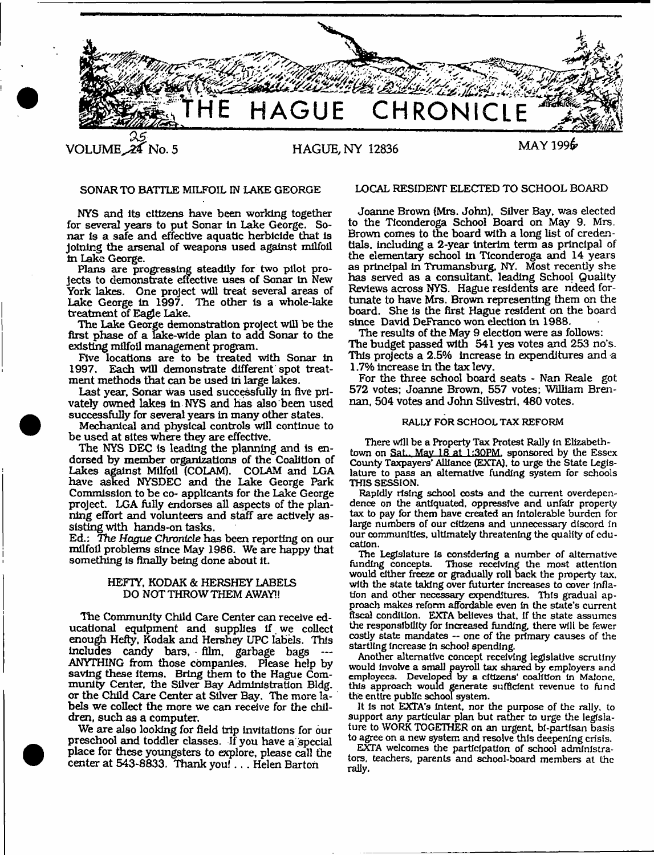

NYS and its citizens have been working together for several years to put Sonar In Lake George. Sonar is a safe and effective aquatic herbicide that is Joining the arsenal of weapons used against milfoil in Lake George.

Plans are progressing steadily for two pilot projects to demonstrate effective uses of Sonar in New York lakes. One project will treat several areas of Lake George in 1997. The other is a whole-lake treatment of Eagle Lake.

The Lake George demonstration project will be the first phase of a lake-wide plan to add Sonar to the existing milfoil management program.

Five locations are to be treated with Sonar in 1997. Each will demonstrate different spot treatment methods that can be used In large lakes.

Last year. Sonar was used successfully in five privately owned lakes in NYS and has also been used successfully for several years in many other states.

Mechanical and physical controls will continue to be used at sites where they are effective.

The NYS DEC is leading the planning and is endorsed by member organizations of the Coalition of Lakes against Milfoil (COLAM). COLAM and LGA have asked NYSDEC and the Lake George Park Commission to be co- applicants for the Lake George project. LGA fully endorses all aspects of the planning effort and volunteers and staff are actively assisting with hands-on tasks.

Ed.: The *Hague Chronicle* has been reporting on our milfoil problems since May 1986. We are happy that something is finally being done about It.

# HEFTY, KODAK & HERSHEY LABELS DO NOT THROW THEM AWAY!!

The Community Child Care Center can receive educational equipment and supplies if we collect enough Hefty, Kodak and Hershey UPC labels. This includes candy bars, film, garbage bags — ANYTHING from those companies. Please help by saving these items. Bring them to the Hague Community Center, the Silver Bay Administration Bldg. or the Child Care Center at Silver Bay. The more labels we collect the more we can receive for the children, such as a computer.

We are also looking for field trip invitations for our preschool and toddler classes. If you have a special place for these youngsters to explore, please call the center at 543-8833. Thank you! . . . Helen Barton

# SONAR TO BATTLE MILFOIL IN LAKE GEORGE LOCAL RESIDENT ELECTED TO SCHOOL BOARD

Joanne Brown (Mrs. John), Silver Bay, was elected to the Ticonderoga School Board on May 9. Mrs. Brown comes to the board with a long list of credentials, including a 2-year interim term as principal of the elementary school in Ticonderoga and 14 years as principal in Trumansburg, NY. Most recently she has served as a consultant, leading School Quality Reviews across NYS. Hague residents are ndeed fortunate to have Mrs. Brown representing them on the board. She is the first Hague resident on the board since David DeFranco won election in 1988.

The results of the May 9 election were as follows: The budget passed with 541 yes votes and 253 no's. This projects a 2.5% increase in expenditures and a 1.7% increase in the tax levy.

For the three school board seats - Nan Reale got 572 votes; Joanne Brown, 557 votes; William Brennan, 504 votes and John Silvestri, 480 votes.

# RALLY FOR SCHOOL TAX REFORM

There will be a Property Tax Protest Rally in Elizabethtown on Sat.. May 18 at 1:30PM. sponsored by the Essex County Taxpayers' Alliance (EXTA), to urge the State Legislature to pass an alternative funding system for schools THIS SESSION.

Rapidly rising school costs and the current overdepcndence on the antiquated, oppressive and unfair property tax to pay for them have created an intolerable burden for large numbers of our citizens and unnecessary discord in our communities, ultimately threatening the quality of education.

The Legislature is considering a number of alternative funding concepts. Those receiving the most attention Those receiving the most attention would either freeze or gradually roll back the property tax. with the state taking over futurter increases to cover inflation and other necessary expenditures. This gradual approach makes reform affordable even In the state's current fiscal condition. EXTA believes that. If the state assumes the responsibility for increased funding there will be fewer costly state mandates — one of the primary causes of the startling increase In school spending.

Another alternative concept receiving legislative scrutiny would involve a small payroll tax shared by employers and employees. Developed by a citizens' coalition In Malone, this approach would generate sufficient revenue to fund the entire public school system.

It Is not EXTA's Intent, nor the purpose of the rally, to support any particular plan but rather to urge the legislature to WORK TOGETHER on an urgent, bi-partisan basis to agree on a new system and resolve this deepening crisis.

EXTA welcomes the participation of school administrators, teachers, parents and school-board members at the rally.

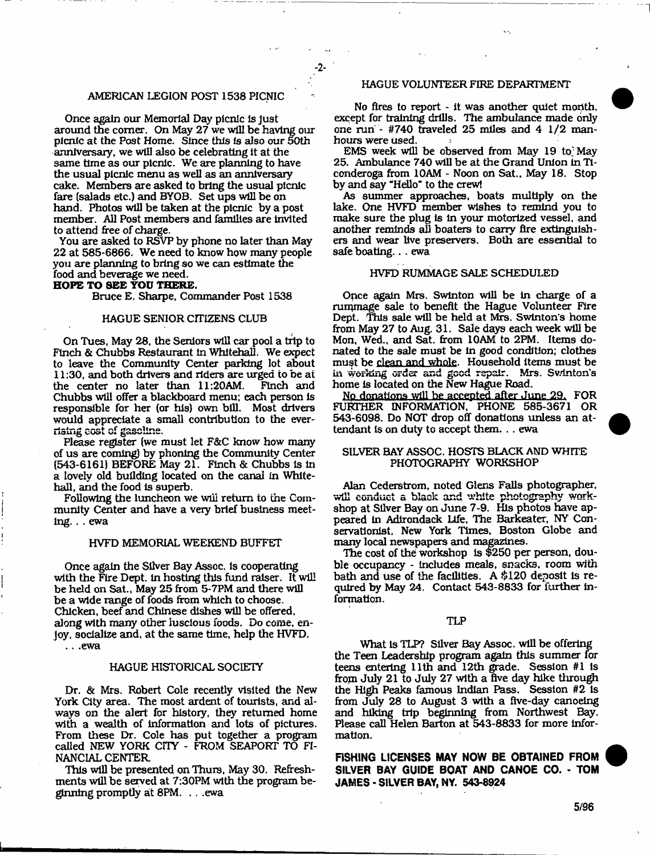# AMERICAN LEGION POST 1538 PICNIC

Once again our Memorial Day picnic is just around the comer. On May 27 we will be having our picnic at the Post Home. Since this Is also our 50th anniversary, we will also be celebrating it at the same time as our picnic. We are planning to have the usual picnic menu as well as an anniversary cake. Members are asked to bring the usual picnic fare (salads etc.) and BYOB. Set ups will be on hand. Photos will be taken at the picnic by a post member. All Post members and families are invited to attend free of charge.

You are asked to RSVP by phone no later than May 22 at 585-6866. We need to know how many people you are planning to bring so we can estimate the food and beverage we need.

**HOPE TO SEE YOU THERE.**

Bruce E. Sharpe, Commander Post 1538

#### HAGUE SENIOR CITIZENS CLUB

On Tues, May 28, the Seniors will car pool a trip to Finch & Chubbs Restaurant In Whitehall, We expect to leave the Community Center parking lot about 11:30, and both drivers and riders are urged to be at the center no later than 11:20AM. Chubbs will offer a blackboard menu; each person is responsible for her (or his) own bill. Most drivers would appreciate a small contribution to the everrising cost of gasoline.

Please register (we must let F&C know how many of us are coming) by phoning the Community Center (543-6161) BEFORE May 21. Finch & Chubbs is in a lovely old building located on the canal in Whitehall, and the food is superb.

Following the luncheon we will return to the Community Center and have a very brief business meeting. . . ewa

#### HVFD MEMORIAL WEEKEND BUFFET

Once again the Silver Bay Assoc, is cooperating with the Fire Dept. In hosting this fund raiser. It will be held on Sat., May 25 from 5-7FM and there will be a wide range of foods from which to choose. Chicken, beef and Chinese dishes will be offered, along with many other luscious foods. Do come, enjoy, socialize and, at the same time, help the HVFD. .. .ewa

# HAGUE HISTORICAL SOCIETY

Dr. & Mrs. Robert Cole recently visited the New York City area. The most ardent of tourists, and always on the alert for history, they returned home with a wealth of information and lots of pictures. From these Dr. Cole has put together a program called NEW YORK CITY - FROM SEAPORT TO FI-NANCIAL CENTER

This will be presented on Thurs, May 30. Refreshments will be served at 7:30PM with the program beginning promptly at 8PM. . . .ewa

### HAGUE VOLUNTEER FIRE DEPARTMENT

No fires to report - it was another quiet month, except for training drills. The ambulance made only one run - #740 traveled 25 miles and 4 1/2 manhours were used.

EMS week will be observed from May 19 to; May 25. Ambulance 740 will be at the Grand Union in Ticonderoga from 10AM - Noon on Sat., May 18. Stop by and say "Hello" to the crewl

As summer approaches, boats multiply on the lake. One HVFD member wishes to remind you to make sure the plug is in your motorized vessel, and another reminds all boaters to cany fire extinguishers and wear live preservers. Both are essential to safe boating.. . ewa

#### HVFD RUMMAGE SALE SCHEDULED

Once again Mrs. Swinton will be in charge of a rummage sale to benefit the Hague Volunteer Fire Dept. This sale will be held at Mrs. Swinton's home from May 27 to Aug. 31. Sale days each week will be Mon, Wed., and Sat. from 10AM to 2PM. Items donated to the sale must be in good condition; clothes must be clean and whole. Household items must be in working order and good repair. Mrs. Swinton's home is located on the New Hague Road.

Np donations will be accepted after June 29. FOR FURTHER INFORMATION, PHONE 585-3671 OR 543-6098. Do NOT drop off donations unless an attendant is on duty to accept them. . . ewa

# SILVER BAY ASSOC. HOSTS BLACK AND WHITE PHOTOGRAPHY WORKSHOP

Alan Cederstrom, noted Glens Falls photographer, will conduct a black and white photography workshop at Silver Bay on June 7-9. His photos have appeared in Adirondack life, The Barkeater, NY Conservationist, New York Times, Boston Globe and many local newspapers and magazines.

The cost of the workshop is \$250 per person, double occupancy - includes meals, snacks, room with bath and use of the facilities. A \$120 deposit is required by May 24. Contact 543-8833 for further information.

#### TLP

What Is TLP? Silver Bay Assoc, will be offering the Teen Leadership program again this summer for teens entering 11th and 12th grade. Session #1 is from July 21 to July 27 with a five day hike tlirough the High Peaks famous Indian Pass. Session #2 is from July 28 to August 3 with a five-day canoeing and hiking trip beginning from Northwest Bay. Please call Helen Barton at 543-8833 for more information.

**FISHING LICENSES MAY NOW BE OBTAINED FROM SILVER BAY GUIDE BOAT AND CANOE CO. - TOM JAMES - SILVER BAY, NY. 543-8924**

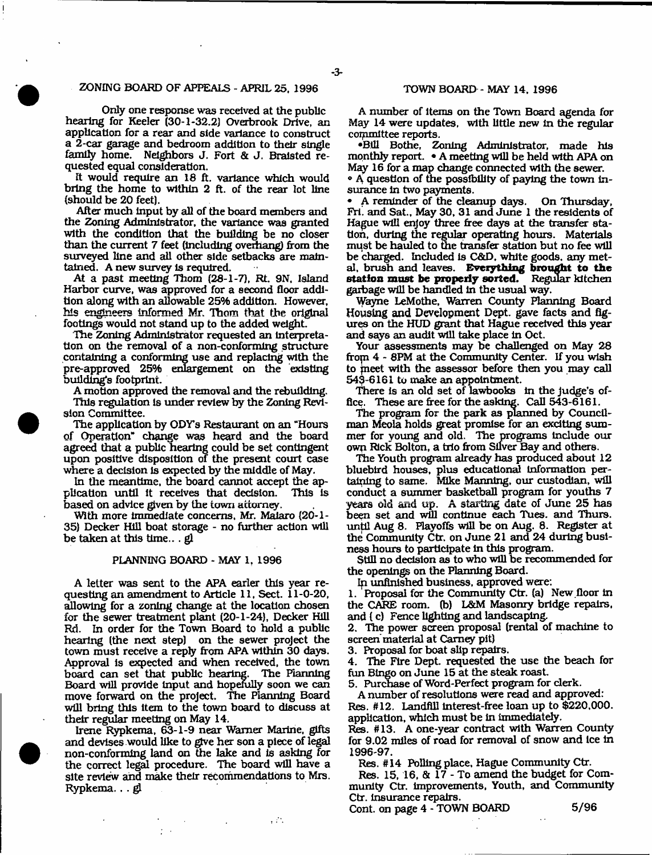### ZONING BOARD OF APPEALS - APRIL 25, 1996

Only one response was received at the public hearing for Keeler (30-1-32.2) Overbrook Drive, an application for a rear and side variance to construct a 2-car garage and bedroom addition to their single family home. Neighbors J. Fort & J. Bralsted requested equal consideration.

It would require an 18 ft. variance which would bring the home to within 2 ft. of the rear lot line (should be 20 feet).

After much input by all of the board members and the Zoning Administrator, the variance was granted with the condition that the building be no closer than the current 7 feet (Including overhang) from the surveyed line and all other side setbacks are maintained. A new survey is required.

At a past meeting Thom (28-1-7), Rt. 9N, Island Harbor curve, was approved for a second floor addition along with an allowable 25% addition. However, his engineers Informed Mr. Thom that the original footings would not stand up to the added weight.

The Zoning Administrator requested an Interpretation on the removal of a non-conforming structure containing a conforming use and replacing with the pre-approved 25% enlargement on the existing building's footprint.

A motion approved the removal and the rebuilding. This regulation Is under review by the Zoning Revision Committee.

The application by *ODYs* Restaurant on an "Hours of Operation" change was heard and the board agreed that a public hearing could be set contingent upon positive disposition of the present court case where a decision is expected by the middle of May.

In the meantime, the board cannot accept the application until It receives that decision. This Is based on advice given by the town attorney.

With more immediate concerns, Mr. Malaro (20-1- 35) Decker Hill boat storage - no further action will be taken at this time...  $gl$ 

#### PLANNING BOARD - MAY 1, 1996

A letter was sent to the APA earler this year requesting an amendment to Article 11, Sect. 11-0-20, allowing for a zoning change at the location chosen for the sewer treatment plant (20-1-24), Decker Hill Rd, In order for the Town Board to hold a public hearing (the next step) on the sewer project the town must receive a reply from APA within 30 days. Approval is expected and when received, the town board can set that public hearing. The Planning Board will provide Input and hopefully soon we can move forward on the project. The Planning Board will bring this item to the town board to discuss at their regular meeting on May 14.

Irene Rypkema, 63-1-9 near Warner Marine, gifts and devises would like to give her son a piece of legal non-conforming land on the lake and Is asking for the correct legal procedure. The board will have a site review and make their recommendations to Mrs. Rypkema, . . gl

 $\frac{1}{2}$  ,  $\frac{1}{2}$  ,

# TOWN BOARD - MAY 14, 1996

A number of items on the Town Board agenda for May 14 were updates, with little new In the regular committee reports.

•Bill Bothe, Zoning Administrator, made his monthly report. • A meeting will be held with APA on May 16 for a map change connected with the sewer.

• A question of the possibility of paying the town insurance In two payments.

• A reminder of the cleanup days. On Thursday, Fri. and Sat., May 30, 31 and June 1 the residents of Hague will enjoy three free days at the transfer station, during the regular operating hours. Materials must be hauled to the transfer station but no fee will be charged. Included 1s C&D, white goods, any metal, brush and leaves. **Everything brought to the station must be properly sorted.** Regular kitchen garbage will be handled in the usual way.

Wayne LeMothe, Warren County Planning Board Housing and Development Dept, gave facts and figures on the HUD grant that Hague received this year and says an audit will take place In Oct.

Your assessments may be challenged on May 28 frop 4 - 8PM at the Community Center. If you wish to fneet with the assessor before then you may call 543-6161 to make an appointment.

There is an old set of lawbooks in the judge's office. These are free for the asking. Call 543-6161.

The program for the park as planned by Councilman Meola holds great promise for an exciting sum mer for young and old. The programs Include our own Rick Bolton, a trio from Silver Bay and others.

The Youth program already has produced about 12 bluebird houses, plus educational Information pertaining to same. Mike Manning, our custodian, will conduct a summer basketball program for youths 7 years old and up. A starting date of June 25 has been set and will continue each Tues. and Thurs. until Aug 8. Playoffs will be on Aug. 8. Register at the Community Ctr, on June 21 and 24 during business hours to participate in this program.

Still no decision as to who will be recommended for the openings on the Planning Board.

Ip unfinished business, approved were:

1. Proposal for the Community Ctr. (a) New floor in the CARE room, (b) L&M Masonry bridge repairs, and ( c) Fence lighting and landscaping.

2. The power screen proposal (rental of machine to screen material at Carney pit)

3. Proposal for boat slip repairs.

4. The Fire Dept, requested the use the beach for fun Bingo on June 15 at the steak roast.

5. Purchase of Word-Perfect program for clerk.

A number of resolutions were read and approved: Res. #12. Landfill interest-free loan up to \$220,000. application, which must be in immediately.

Res. #13. A one-year contract with Warren County for 9.02 miles of road for removal of snow and Ice In 1996-97.

Res. #14 Polling place, Hague Community Ctr.

Res. 15, 16, & 17 - To amend the budget for Community Ctr. Improvements, Youth, and Community Ctr. Insurance repairs.

Cont. on page 4 - TOWN BOARD 5/96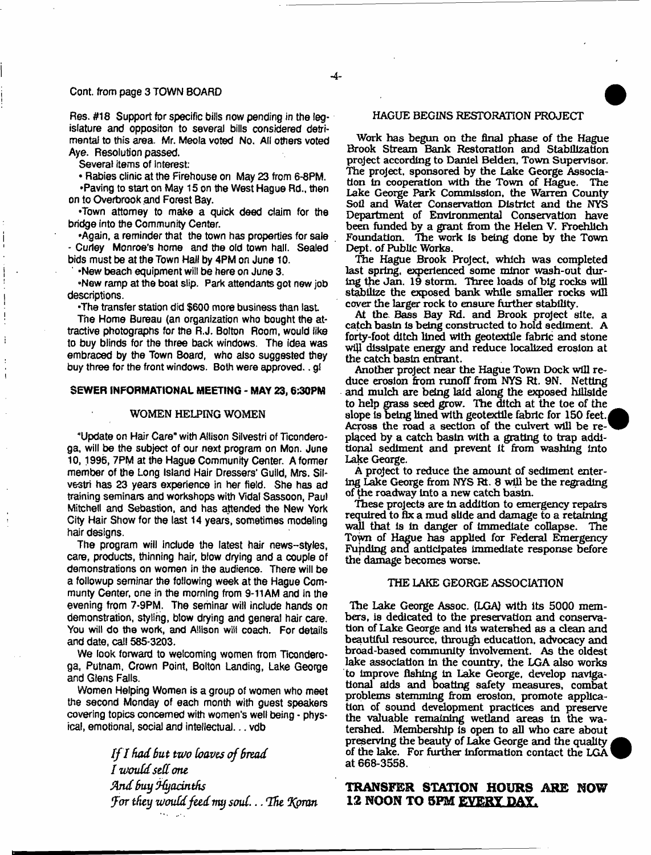#### Cont. from page 3 TOWN BOARD

Res. #18 Support for specific bills now pending in the legislature and oppositon to several bills considered detrimental to this area. Mr. Meola voted No, All others voted Aye. Resolution passed.

Several items of interest:

• Rabies clinic at the Firehouse on May 23 from 6-8PM, •Paving to start on May 15 on the West Hague Rd., then on to Overbrook and Forest Bay.

•Town attorney to make a quick deed claim for the bridge into the Community Center.

•Again, a reminder that the town has properties for sale - Curley Monroe's home and the old town hall. Sealed bids must be at the Town Hall by 4PM on June 10.

' \*New beach equipment wilt be here on June 3.

•New ramp at the boat slip. Park attendants got new job descriptions.

•The transfer station did \$600 more business than last

Tne Home Bureau (an organization who bought the attractive photographs for the R.J. Bolton Room, would like to buy blinds for the three back windows. The idea was embraced by the Town Board, who also suggested they buy three for the front windows. Both were approved.. gl

#### SEWER INFORMATIONAL MEETING - MAY 23, 6:30PM

## WOMEN HELPING WOMEN

"Update on Hair Care" with Allison Silvestri of Ticonderoga, will be the subject of our next program on Mon. June 10,1996, 7PM at the Hague Community Center. A former member of the Long Island Hair Dressers' Guild, Mrs. Sil\* vestri has 23 years experience in her field. She has ad training seminars and workshops with Vidaf Sassoon, Paul Mitchell and Sebastion, and has attended the New York City Hair Show for the last 14 years, sometimes modeling hair designs.

The program will include the latest hair news--styles, care, products, thinning hair, blow drying and a couple of demonstrations on women in the audience. There will be a followup seminar the following week at the Hague Communty Center, one in the morning from 9-11AM and in the evening from 7-9PM. The seminar will include hands on demonstration, styling, blow drying and general hair care. You will do the work, and Allison will coach. For details and date, call 585-3203.

We look forward to welcoming women from Ticonderoga, Putnam, Crown Point, Bolton Landing, Lake George and Glens Falls.

Women Helping Women is a group of women who meet the second Monday of each month with guest speakers covering topics concerned with women's well being - physical, emotional, social and intellectual... vdb

> *I f I had But two loaves of Bread I would sell one Sind Buy jfyadnths UFor they would feed my soul***...** *Uhe 'Koran*

# HAGUE BEGINS RESTORATION PROJECT

Work has begun on the final phase of the Hague Brook Stream Bank Restoration and Stabilization project according to Daniel Bdden, Town Supervisor. The project, sponsored by the Lake George Association In cooperation with the Town of Hague. The Lake George Park Commission, the Warren County Soil and Water Conservation District and the NYS Department of Environmental Conservation have been funded by a grant from the Helen V. Froehlich Foundation. The work Is being done by the Town Dept, of Public Works.

The Hague Brook Project, which was completed last spring, experienced some minor wash-out during the Jan. 19 storm. Three loads of big rocks will stabilize the exposed bank while smaller rocks will cover the larger rock to ensure further stability.

At the Bass Bay Rd. and Brook project site, a catch basin is being constructed to hold sediment. A forty-foot ditch lined with geotextile fabric and stone will dissipate energy and reduce localized erosion at the catch basin entrant.

Another project near the Hague Town Dock will reduce erosion from runoff from NYS Rt. 9N. Netting and mulch are being laid along the exposed hillside to help grass seed grow. The ditch at the toe of the slope is being lined with geotextile fabric for 150 feet. Across the road a section of the culvert will be replaced by a catch basin with a grating to trap additional sediment and prevent it from washing Into Lake George.

A project to reduce the amount of sediment entering Lake George from NYS Rt. 8 will be the regrading of the roadway Into a new catch basin.

These projects are in addition to emergency repairs required to fix a mud slide and damage to a retaining wall that is in danger of immediate collapse. The Town of Hague has applied for Federal Emergency Funding and anticipates immediate response before the damage becomes worse.

#### THE LAKE GEORGE ASSOCIATION

The Lake George Assoc. (LGA) with Its 5000 members, is dedicated to the preservation and conservation of Lake George and its watershed as a dean and beautiful resource, through education, advocacy and broad-based community Involvement. As the oldest lake association In the country, the LGA also works to improve fishing In Lake George, develop navigational aids and boating safety measures, combat problems stemming from erosion, promote application of sound development practices and preserve the valuable remaining wetland areas in the watershed. Membership Is open to all who care about preserving the beauty of Lake George and the quality of the lake. For further information contact the LGA at 668-3558.

# TRANSFER STATION HOURS ARE NOW 12 NOON TO 5PM EVERY DAY.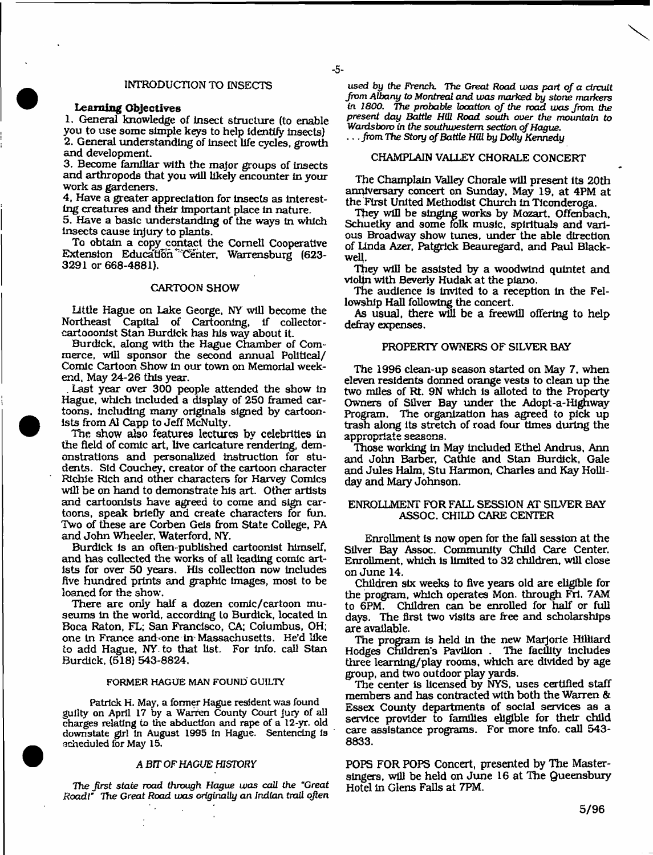#### INTRODUCTION TO INSECTS

# Learning Objectives

1. General knowledge of Insect structure (to enable you to use some simple keys to help identify insects) 2. General understanding of Insect life cycles, growth and development.

3. Become familiar with the major groups of insects and arthropods that you will likely encounter in your work as gardeners.

4. Have a greater appreciation for insects as interesting creatures and their important place in nature.

5. Have a basic understanding of the ways in which insects cause injury to plants.

To obtain a copy contact the Cornell Cooperative Extension Education Center, Warrensburg (623-3291 or 668-4881).

### CARTOON SHOW

Little Hague on Lake George, NY will become the Northeast Capital of Cartooning, if collectorcartooonist Stan Burdick has his way about it.

Burdick, along with the Hague Chamber of Commerce, will sponsor the second annual Political/ Comic Cartoon Show in our town on Memorial weekend. May 24-26 this year.

. Last year over 300 people attended the show in Hague, which included a display of 250 framed cartoons. including many originals signed by cartoonists from A1 Capp to Jeff McNulty.

The show also **features lectures by celebrities** in the field of comic art, live caricature rendering, demonstrations and personalized instruction for students. Sid Couchey, creator of the cartoon character Richie Rich and other characters for Harvey Comics will **be** on hand to demonstrate his art. Other artists and cartoonists have agreed to come and sign cartoons, speak briefly and create characters for fun. Two of these are Corben Gels from State College, PA and John Wheeler, Waterford. NY.

Burdick Is an often-published cartoonist himself, and has collected the works of all leading comic artists for over 50 years. His collection now Includes five hundred prints and graphic images, most to be loaned for the show.

There are only half a dozen comic/cartoon museums in the world, according to Burdick, located in Boca Raton, FL; San Francisco, CA; Columbus, OH; one in France and one in Massachusetts. He'd like to add Hague, NY. to that list. For Info, call Stan Burdick, (518) 543-8824.

#### FORMER HAGUE MAN FOUND GUILTY

Patrick H. May, a former Hague resident was found guilty on April 17 by a Warren County Court jury of all charges relating to the abduction and rape of a 12-yr. old downstate girl In August 1995 In Hague. Sentencing is scheduled for May 15.

# *A BTT OF HAGUE HISTORY*

*The jirst state wad* through *Hague was call the "Great Roadt'* The Great Road was criginally an Indian trail often

 $\gamma_{\rm{in}}$ 

*used by the French The Great Road was part of a circuit from Albany to Montreal and was marked by stone markers* in 1800, The probable location of the road was from the *present day Battle HlU Road south over the mountain to Wanisbom in the southwestern section of Hague,* . . . *from The Story of Battle HUl by* Dolly *Kennedy*

# CHAMPLAIN VALLEY CHORALE CONCERT

The Champlain Valley Chorale will present its 20th anniversary concert on Sunday, May 19, at 4PM at the First United Methodist Church in Ticonderoga.

They will be singing works by Mozart, Offenbach, Schuetky and some folk music, spirituals and various Broadway show tunes, under the able direction of Linda Azer, Patgrick Beauregard, and Paul Blackwell

They will be assisted by a woodwind quintet and vtolfn with Beverly Hudak at the piano.

The audience is invited to a reception in the Fellowship Hall following the concert.

As usual, there will be a freewill offering to help defray expenses.

#### PROPERTY OWNERS OF SILVER BAY

The 1996 clean-up season started on May 7, when eleven residents donned orange vests to clean up the two miles of Rt. 9N which is alloted to the Property Owners of Silver Bay under the Adopt-a-Highway Program. The organization has agreed to pick up trash along its stretch of road four times during the appropriate seasons.

Those working in May included Ethel Andrus, Ann and John Barber, Cathie and Stan Burdick, Gale and Jules Halm, Stu Harmon, Charles and Kay Holliday and Mary Johnson.

#### ENROLLMENT FOR FALL SESSION AT SILVER BAY ASSOC. CHILD CARE CENTER

Enrollment is now open for the fall session at the Silver Bay Assoc. Community Child Care Center. Enrollment, which is limited to 32 children, will close on June 14.

Children six weeks to five years old are eligible for the program, which operates Mon. through Fri. 7AM to 6PM. Children can be enrolled for half or full days. The first two visits are free and scholarships are available.

The program is held in the new Marjorie Hilliard Hodges Children's Pavilion . The facility Includes three learning/play rooms, which are divided by age group, and two outdoor play yards.

'The center is licensed by NYS. uses certified staff members and has contracted with both the Warren & Essex County departments of social services as a service provider to families eligible for their child care assistance programs. For more info, call 543- 8833.

POPS FOR POPS Concert, presented by The Masterslngers, will be held on June 16 at The Queensbury Hotel in Glens Falls at 7PM.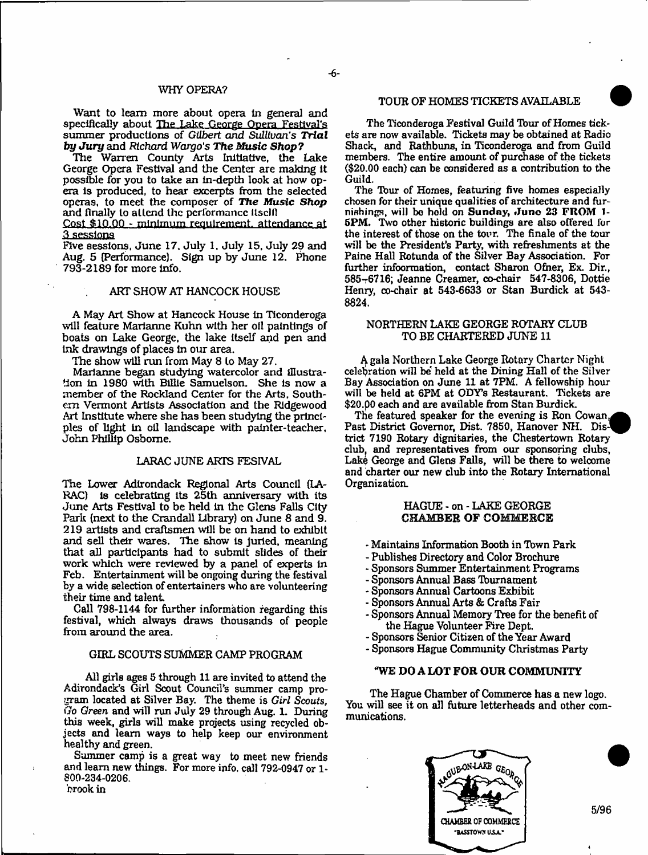#### WHY OPERA?

Want to learn more about opera in general and specifically about The Lake George Opera Festival's summer productions of *Gilbert and Sullivan's Trial by Ju ry* and *Richard Wargo's The Music Shop?*

The Warren County Arts Initiative, the Lake George Opera Festival and the Center are making it possible for you to take an in-depth look at how opera is produced, to hear excerpts from the selected operas, to meet the composer of *The Music Shop* and finally to attend the performance itsclll

Cost \$10.00 - mlnimum'requlrement. attendance at **3 sessions**

Five sessions, June 17. July 1, July 15, July 29 and Aug. 5 (Performance). Sign up by June 12. Phone 793-2189 for more info.

# ART SHOW AT HANCOCK HOUSE

A May Art Show at Hancock House in Ticonderoga will feature Marianne Kuhn with her oil paintings of boats on Lake George, the lake itself and pen and ink drawings of places in our area.

The show will run from May 8 to May 27.

Marianne began studying watercolor and illustration in 1980 with Billie Samuelson. She is now a member of the Rockland Center for the Arts, Southern Vermont Artists Association and the Ridgewood Art Institute where she has been studying the principles of light in oil landscape with painter-teacher, John Phillip Osborne.

#### LARAC JUNE ARTS FESIVAL

The Lower Adirondack Regional Arts Council (LA-RAC) is celebrating its 25th anniversary with its June Arts Festival to be held in the Glens Falls City Park (next to the Crandall library) on June 8 and 9. 219 artists and craftsmen will be on hand to exhibit and sell their wares. *The* show is juried, meaning that all participants had to submit slides of their work which were reviewed by a panel of experts in Feb. Entertainment will be ongoing during the festival by a wide selection of entertainers who are volunteering their time and talent

Call 798-1144 for further information regarding this festival, which always draws thousands of people from around the area.

# GIRL SCOUTS SUMMER CAMP PROGRAM

All girls ages 5 through 11 are invited to attend the Adirondack's Girl Scout Council's summer camp program located at Silver Bay. The theme is *Girl Scouts*, *Go Green* and will run July 29 through Aug. 1. During this week, girls will make projects using recycled objects and learn ways to help keep our environment healthy and green.

Summer camp is a great way to meet new friends and leam new things. For more info, call 792-0947 or 1- 800-234-0206.

## brook in

# TOUR OF HOMES TICKETS AVAILABLE

The Ticonderoga Festival Guild Tour of Homes tickets are now available. Tickets may be obtained at Radio Shack, and Rathbuns, in Ticonderoga and from Guild members. The entire amount of purchase of the tickets (\$20.00 each) can be considered as a contribution to the Guild.

The Tbur of Homes, featuring five homes especially chosen for their unique qualities of architecture and furnishings, will be held on Sunday, June 23 FROM 1-5PM. Two other historic buildings are also offered for the interest of those on the tour. The finale of the tour will be the President's Party, with refreshments at the Paine Hall Rotunda of the Silver Bay Association. For further infoormation, contact Sharon Ofner, Ex. Dir., 585-6716; Jeanne Creamer, co-chair 547-8306, Dottie Henry, co-chair at 543-6633 or Stan Burdick at 543-8824.

# NORTHERN LAKE GEORGE ROTARY CLUB TO BE CHARTERED JUNE 11

A gala Northern Lake George Rotary Charter Night celebration will be' held at the Dining Hall of the Silver Bay Association on June 11 at 7PM. A fellowship hour will be held at 6PM at ODY's Restaurant. Tickets are \$20.00 each and are available from Stan Burdick.

The featured speaker for the evening is Ron Cowan, Past District Governor, Dist. 7850, Hanover NH. District 7190 Rotary dignitaries, the Chestertown Rotary club, and representatives from our sponsoring clubs, Lake George and Glens Falls, will be there to welcome and charter our new dub into the Rotary International Organization.

# HAGUE - on - LAKE GEORGE CHAMBER OF COMMERCE

- Maintains Information Booth in Town Park
- Publishes Directory and Color Brochure
- Sponsors Summer Entertainment Programs
- Sponsors Annual Bass Tburnament
- Sponsors Annual Cartoons Exhibit
- Sponsors Annual Arts & Crafts Fair
- Sponsors Annual Memory Tree for the benefit of the Hague Volunteer Fire Dept,
- Sponsors Senior Citizen of the Year Award
- Sponsors Hague Community Christmas Party

### "WE DO A LOT FOR OUR COMMUNITY

The Hague Chamber of Commerce has a new logo. You will see it on all future letterheads and other communications.



5/96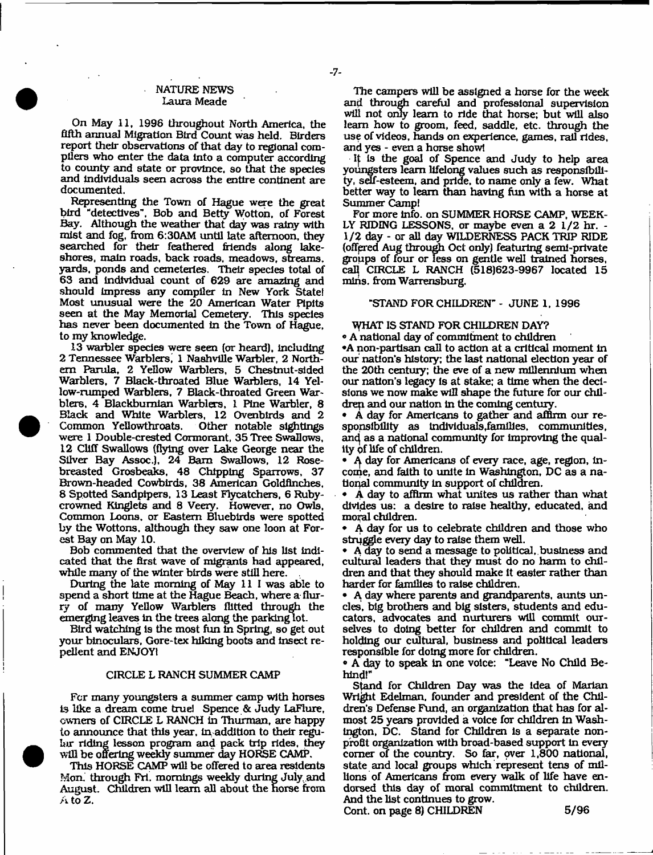# NATURE NEWS Laura Meade

 $-7-$ 

On May 11, 1996 throughout North America, the fifth annual Migration Bird Count was held. Birders report their observations of that day to regional compilers who enter the data into a computer according to county and state or province, so that the species and individuals seen across the entire continent are documented.

Representing the Town of Hague were the great bird "detectives", Bob and Betty Wotton, of Forest Bay. Although the weather that day was rainy with mist and fog, from 6:30AM until late afternoon, they searched for their feathered friends along lakeshores. main roads, back roads, meadows, streams, yards, ponds and cemeteries. Their species total of 63 and individual count of 629 are amazing and should impress any compiler in New York State! Most unusual were the 20 American Water Pipits seen at the May Memorial Cemetery. This species has never been documented in the Town of Hague, to my knowledge.

13 warbler species were seen (or heard), including 2 Tennessee Warblers, 1 Nashville Warbler, 2 Northern Parula, 2 Yellow Warblers, 5 Chestnut-sided Warblers, 7 Black-throated Blue Warblers, 14 Yellow-rumped Warblers, 7 Black-throated Green Warblers, 4 Blackburnian Warblers, 1 Pine Warbler, 8 Black and White Warblers, 12 Ovenblrds and 2 Common Yellowthroats. were 1 Double-crested Cormorant, 35 Tree Swallows, 12 Cliff Swallows (flying over Lake George near the Silver Bay Assoc.), 24 Bam Swallows, 12 Rosebreasted Grosbeaks, 48 Chipping Sparrows, 37 Brown-headed Cowbirds, 38 American Goldfinches, 8 Spotted Sandpipers, 13 Least Flycatchers, 6 Rubycrowned Kinglets and 8 Veery. However, no Owls, Common Loons, or Eastern Bluebirds were spotted by the Wottons. although they saw one loon at Forest Bay on May 10.

Bob commented that the overview of his list indicated that the first wave of migrants had appeared, while many of the winter birds were still here.

During the late morning of May 11 I was able to spend a short time at the Hague Beach, where a flurry of many Yellow Warblers flitted through the emerging leaves in the trees along the parking lot.

Bird watching is the most fun In Spring, so get out your binoculars, Gore-tex hiking boots and Insect repellent and ENJOY!

# CIRCLE L RANCH SUMMER CAMP

For many youngsters a summer camp with horses is like a dream come true! Spence & Judy LaFlure, owners of CIRCLE L RANCH in Thurman, are happy to announce that this year, In addition to their regular riding lesson program and pack trip rides, they will be offering weekly summer day HORSE CAMP.

This HORSE CAMP will be offered to area residents Mon. through Fri. mornings weekly during Juiy. and August. Children will leam all about the norse from  $A$  to  $Z$ .

The campers will be assigned a horse for the week and through careful and professional supervision will not onty leam to ride that horse; but will also leam how to groom, feed, saddle, etc. through the use of videos, hands on experience, games, rail rides, and yes - even a horse show!

It is the goal of Spence and Judy to help area youngsters leam lifelong values such as responsibility, self-esteem, and pride, to name only a few. What better way to leam than having fun with a horse at Summer Camp!

For more info, on SUMMER HORSE CAMP, WEEK-LY RIDING LESSONS, or maybe even a 2 1/2 hr. - 1/2 day - or all day WILDERNESS PACK TRIP RIDE (offered Aug through Oct onty) featuring semi-private groups of four or less on gentle well trained horses, cal} CIRCLE L RANCH (518)623-9967 located 15 mins. from Warrensburg.

# "STAND FOR CHILDREN" - JUNE 1, 1996

WHAT IS STAND FOR CHILDREN DAY?

• A national day of commitment to children •A non-partisan call to action at a critical moment in our nation's history; the last national election year of the 20th century; the eve of a new millennium when our nation's legacy Is at stake; a time when the decisions we now make will shape the future for our childrep and our nation in the coming century.

• A day for Americans to gather and affirm our responsibility as individuals,families, communities, and as a national community for improving the quality of life of children.

• A day for Americans of every race, age, region, income, and faith to unite In Washington, DC as a national community in support of children.

• A day to affirm what unites us rather than what divides us: a desire to raise healthy, educated, and moral children.

• A day for us to celebrate children and those who struggle every day to raise them well.

• A day to send a message to political, business and cultural leaders that they must do no harm to children and that they should make it easier rather than harder for families to raise children.

• A day where parents and grandparents, aunts uncles, big brothers and big sisters, students and educators, advocates and nurturers will commit ourselves to doing better for children and commit to holding our cultural, business and political leaders responsible for doing more for children.

• A day to speak in one voice: "Leave No Child Behind!"

Stand for Children Day was the Idea of Marian Wright Edelman, founder and president of the Children's Defense Fund, an organization that has for almost 25 years provided a voice for children In Washington, DC. Stand for Children Is a separate nonprofit organization with broad-based support in every comer of the country. So far, over 1,800 national, state and local groups which represent tens of millions of Americans from every walk of life have endorsed this day of moral commitment to children. And the list continues to grow.

Cont. on page 8) CHILDREN 5/96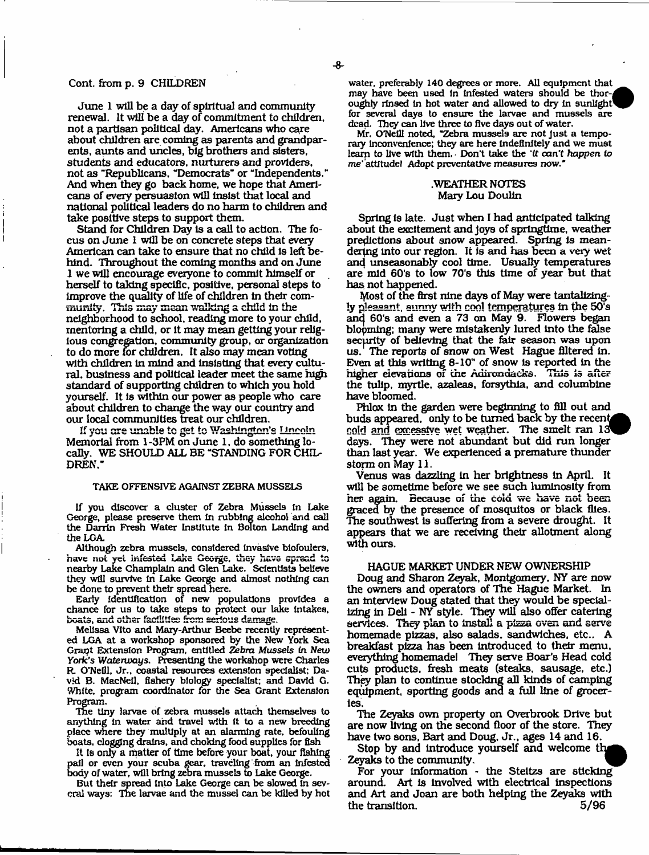# Cont, from p. 9 CHILDREN

June 1 will be a day of spiritual and community renewal. It will be a day of commitment to children, not a partisan political day. Americans who care about children are coming as parents and grandparents, aunts and uncles, big brothers and sisters, students and educators, nurturers and providers, not as "Republicans, "Democrats" or "Independents." And when they go back home, we hope that Americans of every persuasion will insist that local and national political leaders do no harm to children and take positive steps to support them.

Stand for Children Day Is a call to action. The focus on June 1 will be on concrete steps that every American can take to ensure that no child is left behind. Throughout the coming months and on June 1 we will encourage everyone to commit himself or herself to taking specific, positive, personal steps to improve the quality of life of children In their community. This may mean walking a child in the neighborhood to school, reading more to your child, mentoring a child, or it may mean getting your religious congregation, community group, or organization to do more for children. It also may mean voting with children in mind and insisting that every cultural. business and political leader meet the same high standard of supporting children to which you hold yourself. It Is within our power as people who care about children to change the way our country and our local communities treat our children.

If you are unable to get to Washington's Lincoln Memorial from 1-3PM on June 1, do something locally. WE SHOULD ALL BE "STANDING FOR CHIL-DREN."

#### TAKE OFFENSIVE AGAINST ZEBRA MUSSELS

If you discover a duster of Zebra Mussels In Lake George, please preserve them In rubbing alcohol and call the Darrin Fresh Water Institute In Bolton Landing and the LGA.

Although zebra mussels, considered Invasive blofoulers, have not yet infested Lake George, they have spread to nearby Lake Champlain and Glen Lake. Scientists believe they will survive In Lake George and almost nothing can be done to prevent their spread here.

Early Identification of new populations provides a chance for us to take steps to protect our lake Intakes, boats, and other facilities from serious damage.

Melissa Vito and Mary-Arthur Beebe recently represented LGA at a workshop sponsored by the New York Sea Grapt Extension Program, entitled *Zebra Mussels in New York's Waterways.* Presenting the workshop were Charles R. O'Neill, Jr., coastal resources extension specialist; David B. MacNell, fishery biology specialist; and David G. White, program coordinator for the Sea Grant Extension Program.

The tiny larvae of zebra mussels attach themselves to anything In water and travel with It to a new breeding place wnere they multiply at an alarming rate, befouling boats, dogging drains, and choking food supplies for fish

It is only a matter of time before your boat, your fishing pall or even your scuba gear, traveling from an Infested body of water, will bring zebra mussels to Lake George.

But their spread Into Lake George can be slowed In several ways: The larvae and the mussel can be killed by hot water, preferably 140 degrees or more. All equipment that may have been used in infested waters should be thoroughly rinsed in hot water and allowed to dry in sunlight<sup>1</sup> for several days to ensure the larvae and mussels are dead. They can live three to five days out of water.

Mr. O'Neill noted, "Zebra mussels are not Just a temporary Inconvenience; they are here indefinitely and we must learn to live with them, Don't take the *'tt* can't *happen to* me' attitude! Adopt preventative measures now."

#### .WEATHER NOTES Mary Lou Doulin

Spring is late. Just when I had anticipated talking about the excitement and joys of springtime, weather predictions about snow appeared. Spring is meandering into our region. It is and has been a very wet and unseasonably cool time. Usually temperatures are mid 60's to low 70's this time of year but that has not happened.

Most of the first nine days of May were tantalizingly pleasant, sunny with cool temperatures in the 50's and 60's and even a 73 on May 9. Flowers began blopming; many were mistakenly lured Into the false security of believing that the fair season was upon us.' The reports of snow on West Hague filtered in. Even at this writing 8-10" of snow to reported In the higher elevations of the Adirondacks. This is after the tulip, myrtle, azaleas, forsythia, and columbine have bloomed.

Phlox in the garden were beginning to fill out and buds appeared, only to be turned back by the recent cold and excessive wet weather. The smelt ran 13 days. They were not abundant but did run longer than last year. We experienced a premature thunder storm on May 11.

Venus was dazzling In her brightness In April. It wlU be sometime before we see such luminosity from her again. Because of the cold we have not been graced by the presence of mosquitos or black flies. The southwest Is suffering from a severe drought. It appears that we are receiving their allotment along with ours.

# HAGUE MARKET UNDER NEW OWNERSHIP

Doug and Sharon Zeyak, Montgomery, NY are now the owners and operators of The Hague Market. In an interview Doug stated that they would be specializing in Dell - NY style. They will also offer catering services. They plan to Install a pizza oven and serve homemade pizzas, also salads, sandwiches, etc.. A breakfast pizza has been Introduced to their menu, everything homemade! They serve Boar's Head cold cuts products, fresh meats (steaks, sausage, etc.) They plan to continue stocking all kinds of camping equipment, sporting goods and a full line of groceries.

The Zeyaks own property on Overbrook Drive but are now Uvlng on the second floor of the store. They have two sons, Bart and Doug, Jr., ages 14 and 16.

Stop by and introduce yourself and welcome the Zeyaks to the community.

For your Information - the Steltzs are sticking around. Art Is Involved with electrical Inspections and Art and Joan are both helping the Zeyaks with the transition. 5/96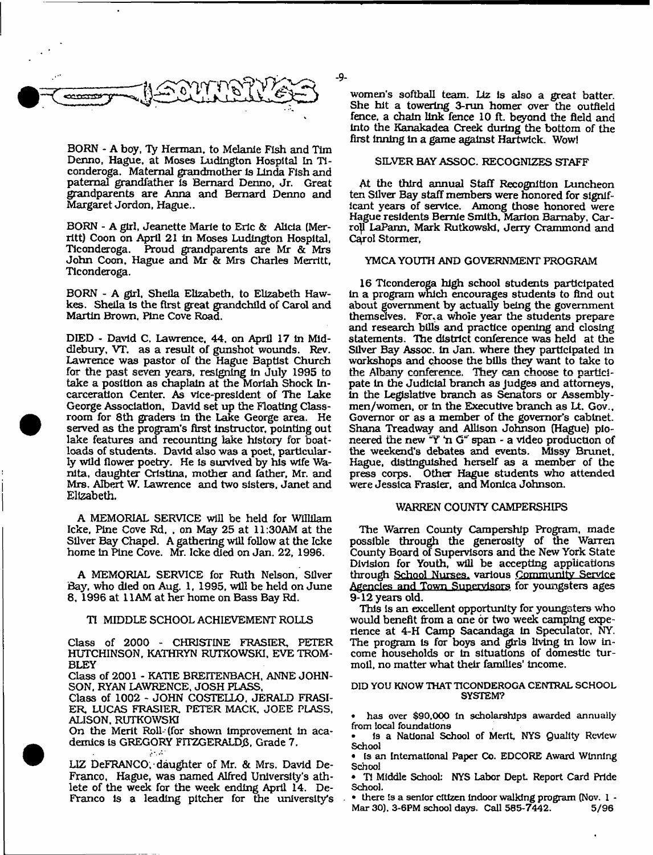

BORN \* A boy, Ty Herman, to Melanie Fish and Tim Denno, Hague, at Moses Ludington Hospital In Ticonderoga. Maternal grandmother is Linda Fish and paternal grandfather Is Bernard Denno, Jr. Great grandparents are Anna and Bernard Denno and Margaret Jordon, Hague..

BORN - A girl, Jeanette Marie to Eric & Alicia (Merritt) Coon on April 21 In Moses Ludington Hospital, Ticonderoga. Proud grandparents are Mr & Mrs John Coon, Hague and Mr & Mrs Charles Merritt, Ticonderoga.

BORN - A girl, Sheila Elizabeth, to Elizabeth Hawkes. Sheila Is the first great grandchild of Carol and Martin Brown. Pine Cove Road.

DIED - David C. Lawrence, 44. on April 17 in Middlebury, VT. as a result of gunshot wounds. Rev. Lawrence was pastor of the Hague Baptist Church for the past seven years, resigning in July 1995 to take a position as chaplain at the Moriah Shock Incarceration Center. As vice-president of The Lake George Association, David set up the Floating Classroom for 8th graders in the Lake George area. He served as the program's first instructor, pointing out lake features and recounting lake history for boatloads of students. David also was a poet, particularly wild flower poetry. He is survived by his wife Wanita, daughter Cristina, mother and father, Mr. and Mrs. Albert W. Lawrence and two sisters, Janet and Elizabeth.

A MEMORIAL SERVICE will be held for Willilam Icke, Pine Cove Rd. . on May 25 at 11:30AM at the Silver Bay Chapel. A gathering will follow at the Icke home in Pine Cove. Mr. Icke died on Jan. 22, 1996.

A MEMORIAL SERVICE for Ruth Nelson, Silver Bay, who died on Aug. 1, 1995, will be held on June 8, 1996 at 11AM at her home on Bass Bay Rd.

#### TI MIDDLE SCHOOL ACHIEVEMENT ROLLS

Class of 2000 - CHRISTINE FRASIER, PETER HUTCHINSON, KATHRYN RUTKOWSKI, EVE TROM-BLEY

Class of 2001 - KATIE BREITENBACH, ANNE JOHN-SON, RYAN LAWRENCE, JOSH FLASS,

Class of 1002 - JOHN COSTELLO. JERALD FRASI-ER, LUCAS FRASIER PETER MACK, JOEE PLASS, ALISON. RUTKOWSKI

On the Merit Roll-(for shown Improvement In academics is GREGORY FITZGERALDB, Grade 7. **Allen** 

LIZ DeFRANCO, daughter of Mr. & Mrs. David De-Franco, Hague, was named Alfred University's athlete of the week for the week ending April 14. De-Franco Is a leading pitcher for the university's

women's softball team. Liz is also a great batter. She hit a towering 3-run homer over the outfield fence, a chain link fence 10 ft. beyond the field and Into the Kanakadea Creek during the bottom of the first Inning in a game against Hartwick. Wow!

### SILVER BAY ASSOC. RECOGNIZES STAFF

At the third annual Staff Recognition Luncheon ten Silver Bay staff members were honored for significant years of service. Among those honored were Hague residents Bemie Smith. Marion Bamaby, Carroll LaPann, Mark Rutkowski, Jerry Crammond and Carol Stormer,

## YMCA YOUTH AND GOVERNMENT PROGRAM

16 Ticonderoga high school students participated in a program which encourages students to find out about government by actually being the government themselves. For, a whole year the students prepare and research bills and practice opening and closing statements. The district conference was held at the Silver Bay Assoc. In Jan. where they participated in workshops and choose the bills they want to take to the Albany conference. They can choose to participate in the Judicial branch as judges and attorneys, in the Legislative branch as Senators or Assemblymen/women, or in the Executive branch as Lt. Gov., Governor or as a member of the governor's cabinet. Shana Treadway and Allison Johnson (Hague) pioneered the new "Y' n G" span - a video production of the weekend's debates and events. Missy Brunet, Hague, distinguished herself as a member of the press corps. Other Hague students who attended were Jessica Frasier, and Monica Johnson.

#### WARREN COUNTY CAMPERSHIPS

The Warren County Campership Program, made possible through the generosity of the Warren County Board of Supervisors and the New York State Division for Youth, will be accepting applications through School Nurses, various Community Service Agencies and Town Supervisors for youngsters ages 9-12 years old.

This is an excellent opportunity for youngsters who would benefit from a one or two week camping experience at 4-H Camp Sacandaga in Speculator, NY. The program Is for boys and girls living in low income households or in situations of domestic turmoil, no matter what their families' income.

#### DID YOU KNOW THAT TICONDEROGA CENTRAL SCHOOL SYSTEM?

*•* has over \$90,000 In scholarships awarded annually from local foundations

• Is a National School of Merit, NYS Quality Review School

• Is an International Paper Co. EDCORE Award Winning School

• Tl Middle School: NYS Labor Dept Report Card Pride School.

• there is a senior citizen Indoor walking program (Nov. I - Mar 30). 3-6PM school days. Call 585-7442. 5/96